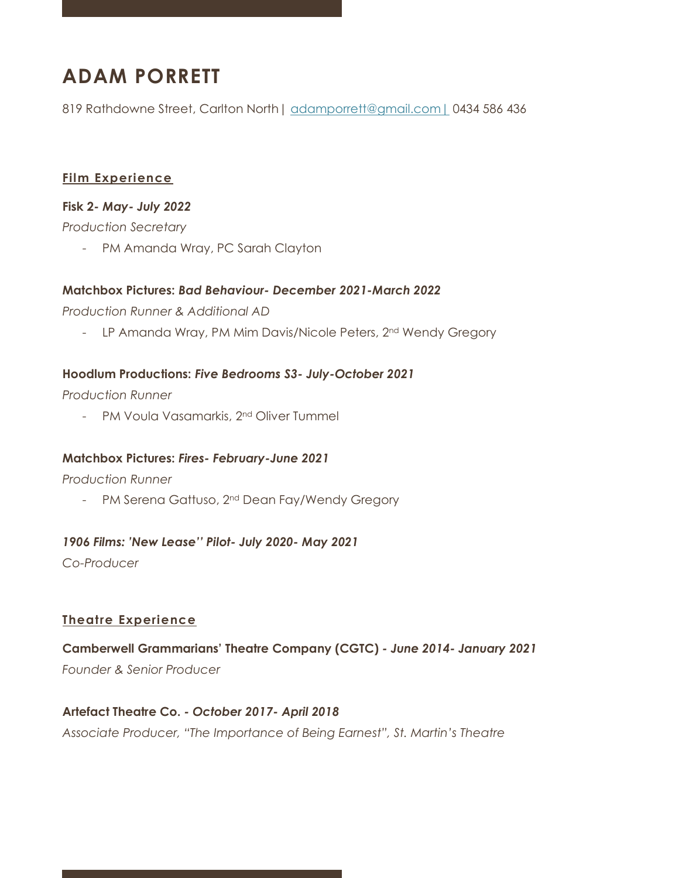# **ADAM PORRETT**

819 Rathdowne Street, Carlton North | adamporrett@gmail.com | 0434 586 436

#### **Film Experience**

#### **Fisk 2***- May- July 2022*

*Production Secretary*

- PM Amanda Wray, PC Sarah Clayton

#### **Matchbox Pictures:** *Bad Behaviour- December 2021-March 2022*

*Production Runner & Additional AD*

- LP Amanda Wray, PM Mim Davis/Nicole Peters, 2<sup>nd</sup> Wendy Gregory

#### **Hoodlum Productions:** *Five Bedrooms S3- July-October 2021*

*Production Runner*

- PM Voula Vasamarkis, 2<sup>nd</sup> Oliver Tummel

#### **Matchbox Pictures:** *Fires- February-June 2021*

*Production Runner*

- PM Serena Gattuso, 2<sup>nd</sup> Dean Fay/Wendy Gregory

#### *1906 Films: 'New Lease'' Pilot- July 2020- May 2021*

*Co-Producer*

#### **Theatre Experience**

**Camberwell Grammarians' Theatre Company (CGTC)** *- June 2014- January 2021 Founder & Senior Producer*

**Artefact Theatre Co.** *- October 2017- April 2018 Associate Producer, "The Importance of Being Earnest", St. Martin's Theatre*